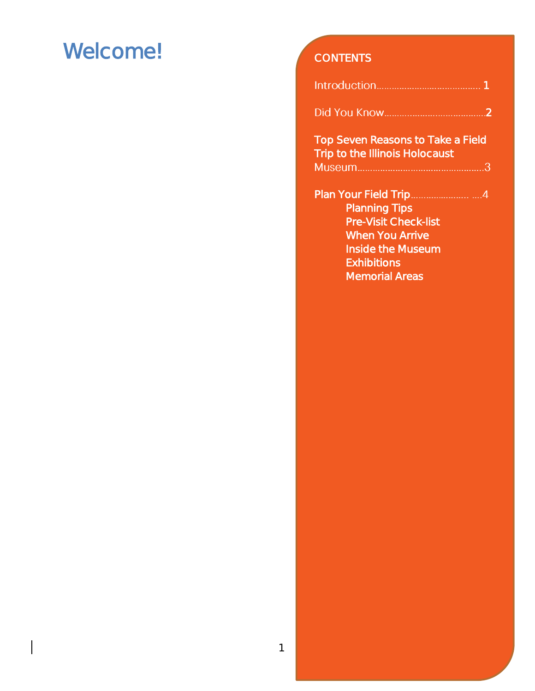### Welcome! CONTENTS

| Did You Know |  |
|--------------|--|

Top Seven Reasons to Take a Field Trip to the Illinois Holocaust 

| <b>Planning Tips</b>        |  |
|-----------------------------|--|
| <b>Pre-Visit Check-list</b> |  |
| When You Arrive             |  |
| Inside the Museum           |  |
| <b>Exhibitions</b>          |  |
| <b>Memorial Areas</b>       |  |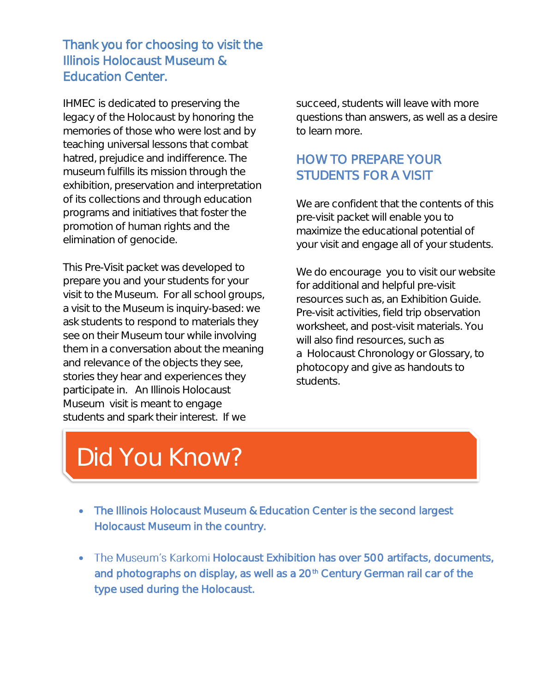### *Thank you for choosing to visit the Illinois Holocaust Museum & Education Center.*

IHMEC is dedicated to preserving the legacy of the Holocaust by honoring the memories of those who were lost and by teaching universal lessons that combat hatred, prejudice and indifference. The museum fulfills its mission through the exhibition, preservation and interpretation of its collections and through education programs and initiatives that foster the promotion of human rights and the elimination of genocide.

This Pre-Visit packet was developed to prepare you and your students for your visit to the Museum. For all school groups, a visit to the Museum is inquiry-based: we ask students to respond to materials they see on their Museum tour while involving them in a conversation about the meaning and relevance of the objects they see, stories they hear and experiences they participate in. An Illinois Holocaust Museum visit is meant to engage students and spark their interest. If we

succeed, students will leave with more questions than answers, as well as a desire to learn more.

### HOW TO PREPARE YOUR STUDENTS FOR A VISIT

We are confident that the contents of this pre-visit packet will enable you to maximize the educational potential of your visit and engage all of your students.

We do encourage you to visit our website for additional and helpful pre-visit resources such as, an Exhibition Guide. Pre-visit activities, field trip observation worksheet, and post-visit materials. You will also find resources, such as a Holocaust Chronology or Glossary, to photocopy and give as handouts to students.

## Did You Know?

 $\overline{a}$ 

Ì

- The Illinois Holocaust Museum & Education Center is the second largest Holocaust Museum in the country.
- The Museum's Karkomi Holocaust Exhibition has over 500 artifacts, documents, and photographs on display, as well as a 20<sup>th</sup> Century German rail car of the type used during the Holocaust.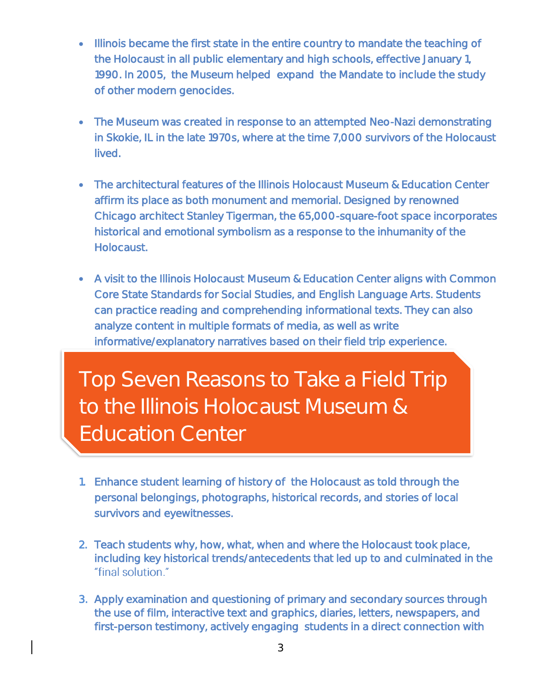- Illinois became the first state in the entire country to mandate the teaching of the Holocaust in all public elementary and high schools, effective January 1, 1990. In 2005, the Museum helped expand the Mandate to include the study of other modern genocides.
- The Museum was created in response to an attempted Neo-Nazi demonstrating in Skokie, IL in the late 1970s, where at the time 7,000 survivors of the Holocaust lived.
- The architectural features of the Illinois Holocaust Museum & Education Center affirm its place as both monument and memorial. Designed by renowned Chicago architect Stanley Tigerman, the 65,000-square-foot space incorporates historical and emotional symbolism as a response to the inhumanity of the Holocaust.
- A visit to the Illinois Holocaust Museum & Education Center aligns with Common Core State Standards for Social Studies, and English Language Arts. Students can practice reading and comprehending informational texts. They can also analyze content in multiple formats of media, as well as write informative/explanatory narratives based on their field trip experience.

Top Seven Reasons to Take a Field Trip to the Illinois Holocaust Museum & Education Center

 I I ì

- 1. Enhance student learning of history of the Holocaust as told through the personal belongings, photographs, historical records, and stories of local survivors and eyewitnesses.
- 2. Teach students why, how, what, when and where the Holocaust took place, including key historical trends/antecedents that led up to and culminated in the "final solution."
- 3. Apply examination and questioning of primary and secondary sources through the use of film, interactive text and graphics, diaries, letters, newspapers, and first-person testimony, actively engaging students in a direct connection with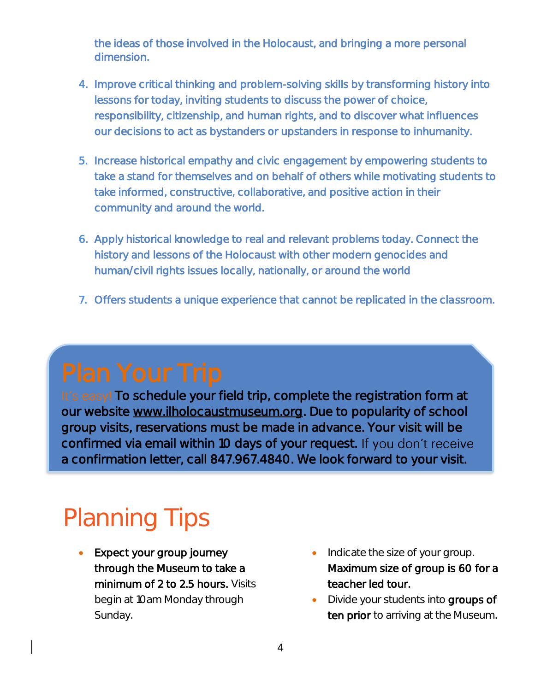the ideas of those involved in the Holocaust, and bringing a more personal dimension.

- 4. Improve critical thinking and problem-solving skills by transforming history into lessons for today, inviting students to discuss the power of choice, responsibility, citizenship, and human rights, and to discover what influences our decisions to act as bystanders or upstanders in response to inhumanity.
- 5. Increase historical empathy and civic engagement by empowering students to take a stand for themselves and on behalf of others while motivating students to take informed, constructive, collaborative, and positive action in their community and around the world.
- 6. Apply historical knowledge to real and relevant problems today. Connect the history and lessons of the Holocaust with other modern genocides and human/civil rights issues locally, nationally, or around the world
- 7. Offers students a unique experience that cannot be replicated in the classroom.

It's easy! To schedule your field trip, complete the registration form at our website [www.ilholocaustmuseum.org.](http://www.ilholocaustmuseum.org/) Due to popularity of school group visits, reservations must be made in advance. Your visit will be confirmed via email within 10 days of your request. If you don't receive a confirmation letter, call 847.967.4840. We look forward to your visit.

# Planning Tips

- Expect your group journey through the Museum to take a minimum of 2 to 2.5 hours. Visits begin at 10am Monday through Sunday.
- Indicate the size of your group. Maximum size of group is 60 for a teacher led tour.
- Divide your students into groups of ten prior to arriving at the Museum.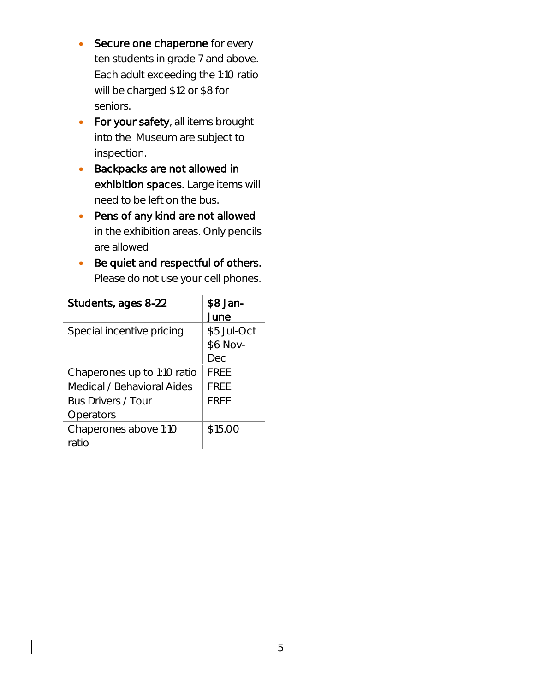- Secure one chaperone for every ten students in grade 7 and above. Each adult exceeding the 1:10 ratio will be charged \$12 or \$8 for seniors.
- For your safety, all items brought into the Museum are subject to inspection.
- **Backpacks are not allowed in** exhibition spaces. Large items will need to be left on the bus.
- Pens of any kind are not allowed in the exhibition areas. Only pencils are allowed
- Be quiet and respectful of others. Please do not use your cell phones.

| Students, ages 8-22         | \$8 Jan-    |
|-----------------------------|-------------|
|                             | June        |
| Special incentive pricing   | \$5 Jul-Oct |
|                             | \$6 Nov-    |
|                             | Dec         |
| Chaperones up to 1:10 ratio | <b>FREE</b> |
| Medical / Behavioral Aides  | FRFF        |
| <b>Bus Drivers / Tour</b>   | FRFF        |
| Operators                   |             |
| Chaperones above 1:10       | \$15.00     |
| ratio                       |             |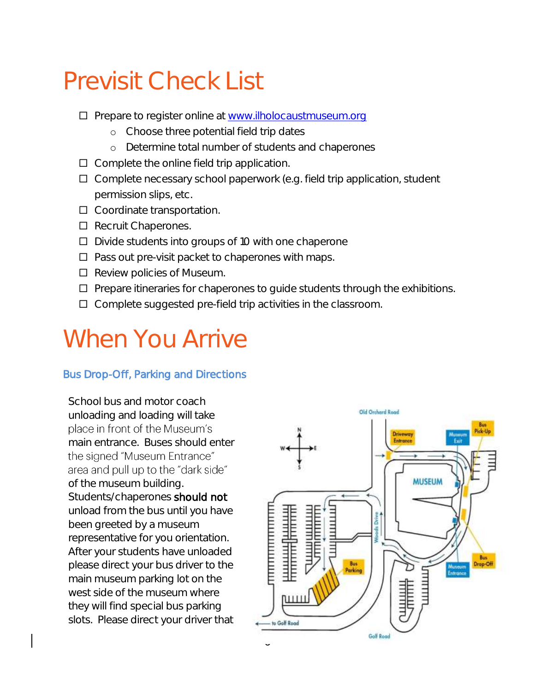## Previsit Check List

- □ Prepare to register online at [www.ilholocaustmuseum.org](http://www.ilholocaustmuseum.org/)
	- o Choose three potential field trip dates
	- o Determine total number of students and chaperones
- $\Box$  Complete the online field trip application.
- □ Complete necessary school paperwork (e.g. field trip application, student permission slips, etc.
- □ Coordinate transportation.
- $\square$  Recruit Chaperones.
- $\Box$  Divide students into groups of 10 with one chaperone
- $\Box$  Pass out pre-visit packet to chaperones with maps.
- $\square$  Review policies of Museum.
- $\Box$  Prepare itineraries for chaperones to guide students through the exhibitions.
- $\square$  Complete suggested pre-field trip activities in the classroom.

### When You Arrive

#### Bus Drop-Off, Parking and Directions

School bus and motor coach unloading and loading will take place in front of the Museum's main entrance. Buses should enter the signed "Museum Entrance" area and pull up to the "dark side" of the museum building. Students/chaperones should not unload from the bus until you have been greeted by a museum representative for you orientation. After your students have unloaded please direct your bus driver to the main museum parking lot on the west side of the museum where they will find special bus parking slots. Please direct your driver that

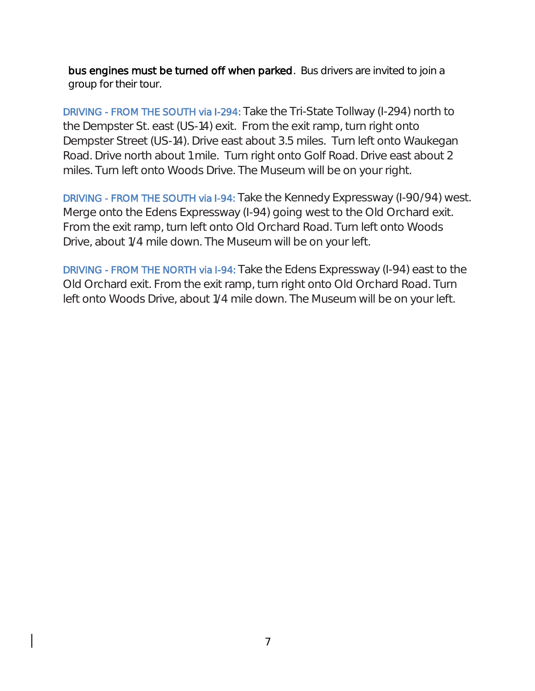bus engines must be turned off when parked. Bus drivers are invited to join a group for their tour.

DRIVING - FROM THE SOUTH via I-294: Take the Tri-State Tollway (I-294) north to the Dempster St. east (US-14) exit. From the exit ramp, turn right onto Dempster Street (US-14). Drive east about 3.5 miles. Turn left onto Waukegan Road. Drive north about 1 mile. Turn right onto Golf Road. Drive east about 2 miles. Turn left onto Woods Drive. The Museum will be on your right.

DRIVING - FROM THE SOUTH via I-94: Take the Kennedy Expressway (I-90/94) west. Merge onto the Edens Expressway (I-94) going west to the Old Orchard exit. From the exit ramp, turn left onto Old Orchard Road. Turn left onto Woods Drive, about 1/4 mile down. The Museum will be on your left.

DRIVING - FROM THE NORTH via I-94: Take the Edens Expressway (I-94) east to the Old Orchard exit. From the exit ramp, turn right onto Old Orchard Road. Turn left onto Woods Drive, about 1/4 mile down. The Museum will be on your left.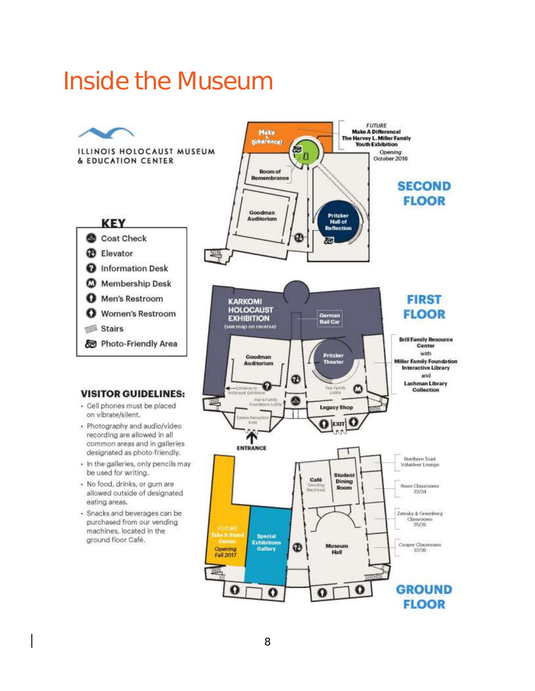### Inside the Museum

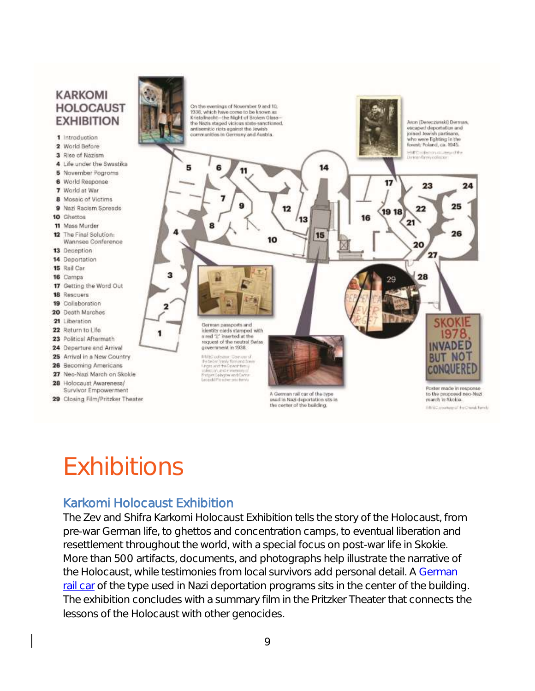#### **KARKOMI HOLOCAUST** On the evenings of November 9 and 10, 1938, which have come to be known as<br>Kristallnacht--the Night of Broken Glass **EXHIBITION** Arce (Dereczunski) Derman. the Nazis staped vicious state-sanctioned. antisemitic riots against the Jewish<br>communities in Germany and Austria. escaped deportation and joined Jewish partisans.<br>who were lighting in the 1 Introduction forest, Poland, ca. 1945. 2 World Before -<br>-<br>Deman family collector 3 Rise of Nazism 4 Life under the Swastika 14 5 11 **5** November Pogroms 6 World Response 17 23 24 7 World at War **8** Mosaic of Victims 25 9 Nazi Racism Spreads 12 22 19 18 10 Ghettos 13  $21$ 8 11 Mass Murder 26 12 The Final Solution: 15 10 Wannsee Conference 20 13 Deception 27 14 Deportation 15 Rail Car з 16 Camps 28 29 17 Getting the Word Out **18** Rescuers 19 Collaboration 2 20 Death Marches **SKOKIE** 21 Liberation German passports and 22 Return to Life identity cards stamped with 1978 1 a red "I," inserted at the 23 Political Aftermath request of the neutral Swiss **INVADED** government in 1938. 24 Departure and Arrival 25 Arrival in a New Country **BUT NOT** MBC colourus - Cour cay yi<br>Salasiar tamig Tomand You<br>Post, whil the Covent British<br>Salasit Cologine and Caster<br>Salasit Cologine and Caster<br>Salasit Cologine and Caster 26 Becoming Americans CONQUER 27 Neo-Nazi March on Skokie 28 Holocaust Awareness/ Poster made in response Survivor Empowerment A German rail car of the type to the proposed neo-Nazi 29 Closing Film/Pritzker Theater march in Skokie. used in Nazi deportation sits in the center of the building. EB/SC stockey of the O seal family

### **Exhibitions**

#### Karkomi Holocaust Exhibition

The Zev and Shifra Karkomi Holocaust Exhibition tells the story of the Holocaust, from pre-war German life, to ghettos and concentration camps, to eventual liberation and resettlement throughout the world, with a special focus on post-war life in Skokie. More than 500 artifacts, documents, and photographs help illustrate the narrative of the Holocaust, while testimonies from local survivors add personal detail. A [German](http://www.ilholocaustmuseum.org/pages/rail_car/132.php)  [rail car](http://www.ilholocaustmuseum.org/pages/rail_car/132.php) of the type used in Nazi deportation programs sits in the center of the building. The exhibition concludes with a summary film in the Pritzker Theater that connects the lessons of the Holocaust with other genocides.